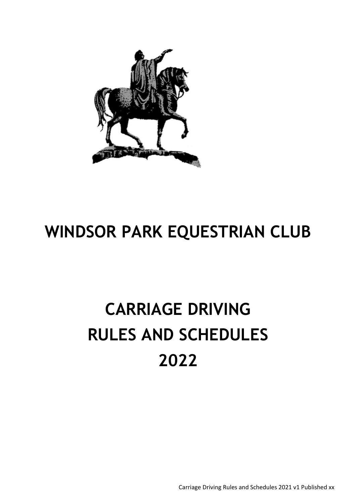

# **WINDSOR PARK EQUESTRIAN CLUB**

# **CARRIAGE DRIVING RULES AND SCHEDULES 2022**

Carriage Driving Rules and Schedules 2021 v1 Published xx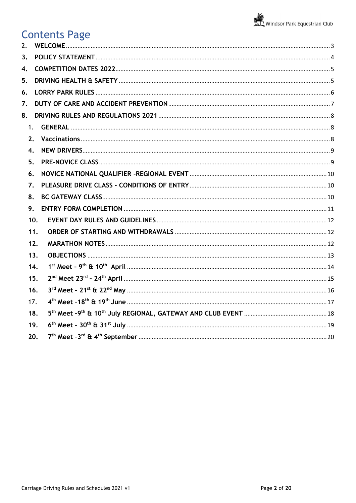# Contents Page<br>2. WELCOME................

| 2.               |                    |  |
|------------------|--------------------|--|
| 3 <sub>1</sub>   |                    |  |
| $\overline{4}$ . |                    |  |
| 5.               |                    |  |
| 6.               |                    |  |
| 7.               |                    |  |
| 8.               |                    |  |
|                  | 1.                 |  |
|                  | 2.                 |  |
|                  | $\boldsymbol{4}$ . |  |
|                  | 5.                 |  |
|                  | 6.                 |  |
|                  | 7.                 |  |
|                  | 8.                 |  |
|                  | 9.                 |  |
|                  | 10.                |  |
|                  | 11.                |  |
|                  | 12.                |  |
|                  | 13.                |  |
|                  | 14.                |  |
|                  | 15.                |  |
|                  | 16.                |  |
|                  | 17.                |  |
|                  | 18.                |  |
|                  | 19.                |  |
|                  | 20.                |  |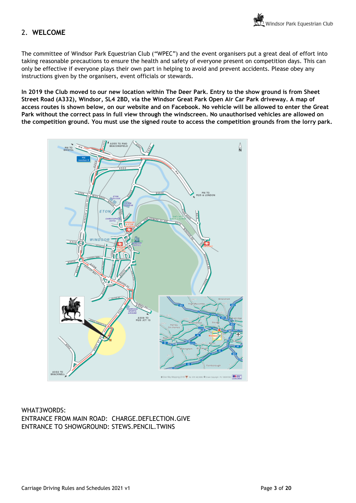## <span id="page-2-0"></span>2. **WELCOME**

The committee of Windsor Park Equestrian Club ("WPEC") and the event organisers put a great deal of effort into taking reasonable precautions to ensure the health and safety of everyone present on competition days. This can only be effective if everyone plays their own part in helping to avoid and prevent accidents. Please obey any instructions given by the organisers, event officials or stewards.

**In 2019 the Club moved to our new location within The Deer Park. Entry to the show ground is from Sheet Street Road (A332), Windsor, SL4 2BD, via the Windsor Great Park Open Air Car Park driveway. A map of access routes is shown below, on our website and on Facebook. No vehicle will be allowed to enter the Great Park without the correct pass in full view through the windscreen. No unauthorised vehicles are allowed on the competition ground. You must use the signed route to access the competition grounds from the lorry park.**



WHAT3WORDS: ENTRANCE FROM MAIN ROAD: CHARGE.DEFLECTION.GIVE ENTRANCE TO SHOWGROUND: STEWS.PENCIL.TWINS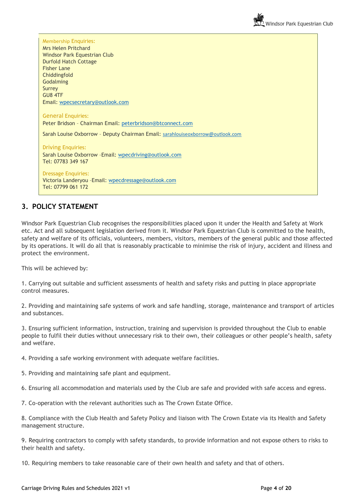Membership Enquiries: Mrs Helen Pritchard Windsor Park Equestrian Club Durfold Hatch Cottage Fisher Lane Chiddingfold Godalming Surrey GU8 4TF Email: [wpecsecretary@outlook.com](mailto:wpecsecretary@outlook.com) General Enquiries: Peter Bridson – Chairman Email: [peterbridson@btconnect.com](mailto:peterbridson@btconnect.com) Sarah Louise Oxborrow - Deputy Chairman Email: [sarahlouiseoxborrow@outlook.com](mailto:sarahlouiseoxborrow@outlook.com) Driving Enquiries: Sarah Louise Oxborrow –Email: [wpecdriving@outlook.com](mailto:wpecdriving@outlook.com) Tel: 07783 349 167 Dressage Enquiries: Victoria Landeryou –Email: [wpecdressage@outlook.com](mailto:wpecdressage@outlook.com)

## <span id="page-3-0"></span>**3. POLICY STATEMENT**

Tel: 07799 061 172

Windsor Park Equestrian Club recognises the responsibilities placed upon it under the Health and Safety at Work etc. Act and all subsequent legislation derived from it. Windsor Park Equestrian Club is committed to the health, safety and welfare of its officials, volunteers, members, visitors, members of the general public and those affected by its operations. It will do all that is reasonably practicable to minimise the risk of injury, accident and illness and protect the environment.

This will be achieved by:

1. Carrying out suitable and sufficient assessments of health and safety risks and putting in place appropriate control measures.

2. Providing and maintaining safe systems of work and safe handling, storage, maintenance and transport of articles and substances.

3. Ensuring sufficient information, instruction, training and supervision is provided throughout the Club to enable people to fulfil their duties without unnecessary risk to their own, their colleagues or other people's health, safety and welfare.

4. Providing a safe working environment with adequate welfare facilities.

5. Providing and maintaining safe plant and equipment.

6. Ensuring all accommodation and materials used by the Club are safe and provided with safe access and egress.

7. Co-operation with the relevant authorities such as The Crown Estate Office.

8. Compliance with the Club Health and Safety Policy and liaison with The Crown Estate via its Health and Safety management structure.

9. Requiring contractors to comply with safety standards, to provide information and not expose others to risks to their health and safety.

10. Requiring members to take reasonable care of their own health and safety and that of others.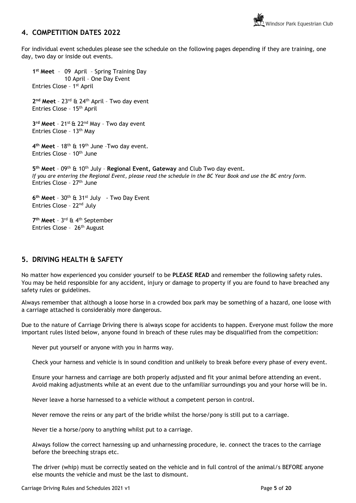## <span id="page-4-0"></span>**4. COMPETITION DATES 2022**

For individual event schedules please see the schedule on the following pages depending if they are training, one day, two day or inside out events.

**1 st Meet** – 09 April – Spring Training Day 10 April – One Day Event Entries Close - 1<sup>st</sup> April **2 nd Meet** – 23rd & 24th April – Two day event Entries Close – 15th April **3 rd Meet** – 21st & 22nd May – Two day event Entries Close – 13th May **4 th Meet** – 18th & 19th June –Two day event. Entries Close - 10<sup>th</sup> June **5 th Meet** – 09th & 10th July – **Regional Event, Gateway** and Club Two day event. *If you are entering the Regional Event, please read the schedule in the BC Year Book and use the BC entry form.*  Entries Close - 27<sup>th</sup> June **6 th Meet** – 30th & 31st July - Two Day Event Entries Close – 22nd July **7 th Meet** – 3 rd & 4th September Entries Close - 26<sup>th</sup> August

## <span id="page-4-1"></span>**5. DRIVING HEALTH & SAFETY**

No matter how experienced you consider yourself to be **PLEASE READ** and remember the following safety rules. You may be held responsible for any accident, injury or damage to property if you are found to have breached any safety rules or guidelines.

Always remember that although a loose horse in a crowded box park may be something of a hazard, one loose with a carriage attached is considerably more dangerous.

Due to the nature of Carriage Driving there is always scope for accidents to happen. Everyone must follow the more important rules listed below, anyone found in breach of these rules may be disqualified from the competition:

Never put yourself or anyone with you in harms way.

Check your harness and vehicle is in sound condition and unlikely to break before every phase of every event.

Ensure your harness and carriage are both properly adjusted and fit your animal before attending an event. Avoid making adjustments while at an event due to the unfamiliar surroundings you and your horse will be in.

Never leave a horse harnessed to a vehicle without a competent person in control.

Never remove the reins or any part of the bridle whilst the horse/pony is still put to a carriage.

Never tie a horse/pony to anything whilst put to a carriage.

Always follow the correct harnessing up and unharnessing procedure, ie. connect the traces to the carriage before the breeching straps etc.

The driver (whip) must be correctly seated on the vehicle and in full control of the animal/s BEFORE anyone else mounts the vehicle and must be the last to dismount.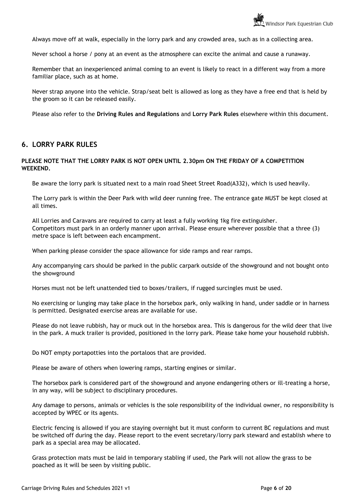Always move off at walk, especially in the lorry park and any crowded area, such as in a collecting area.

Never school a horse / pony at an event as the atmosphere can excite the animal and cause a runaway.

Remember that an inexperienced animal coming to an event is likely to react in a different way from a more familiar place, such as at home.

Never strap anyone into the vehicle. Strap/seat belt is allowed as long as they have a free end that is held by the groom so it can be released easily.

Please also refer to the **Driving Rules and Regulations** and **Lorry Park Rules** elsewhere within this document.

## <span id="page-5-0"></span>**6. LORRY PARK RULES**

### **PLEASE NOTE THAT THE LORRY PARK IS NOT OPEN UNTIL 2.30pm ON THE FRIDAY OF A COMPETITION WEEKEND.**

Be aware the lorry park is situated next to a main road Sheet Street Road(A332), which is used heavily.

The Lorry park is within the Deer Park with wild deer running free. The entrance gate MUST be kept closed at all times.

All Lorries and Caravans are required to carry at least a fully working 1kg fire extinguisher. Competitors must park in an orderly manner upon arrival. Please ensure wherever possible that a three (3) metre space is left between each encampment.

When parking please consider the space allowance for side ramps and rear ramps.

Any accompanying cars should be parked in the public carpark outside of the showground and not bought onto the showground

Horses must not be left unattended tied to boxes/trailers, if rugged surcingles must be used.

No exercising or lunging may take place in the horsebox park, only walking in hand, under saddle or in harness is permitted. Designated exercise areas are available for use.

Please do not leave rubbish, hay or muck out in the horsebox area. This is dangerous for the wild deer that live in the park. A muck trailer is provided, positioned in the lorry park. Please take home your household rubbish.

Do NOT empty portapotties into the portaloos that are provided.

Please be aware of others when lowering ramps, starting engines or similar.

The horsebox park is considered part of the showground and anyone endangering others or ill-treating a horse, in any way, will be subject to disciplinary procedures.

Any damage to persons, animals or vehicles is the sole responsibility of the individual owner, no responsibility is accepted by WPEC or its agents.

Electric fencing is allowed if you are staying overnight but it must conform to current BC regulations and must be switched off during the day. Please report to the event secretary/lorry park steward and establish where to park as a special area may be allocated.

Grass protection mats must be laid in temporary stabling if used, the Park will not allow the grass to be poached as it will be seen by visiting public.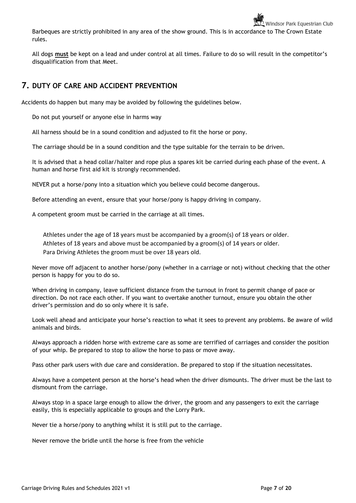Barbeques are strictly prohibited in any area of the show ground. This is in accordance to The Crown Estate rules.

All dogs **must** be kept on a lead and under control at all times. Failure to do so will result in the competitor's disqualification from that Meet.

## <span id="page-6-0"></span>**7. DUTY OF CARE AND ACCIDENT PREVENTION**

Accidents do happen but many may be avoided by following the guidelines below.

Do not put yourself or anyone else in harms way

All harness should be in a sound condition and adjusted to fit the horse or pony.

The carriage should be in a sound condition and the type suitable for the terrain to be driven.

It is advised that a head collar/halter and rope plus a spares kit be carried during each phase of the event. A human and horse first aid kit is strongly recommended.

NEVER put a horse/pony into a situation which you believe could become dangerous.

Before attending an event, ensure that your horse/pony is happy driving in company.

A competent groom must be carried in the carriage at all times.

Athletes under the age of 18 years must be accompanied by a groom(s) of 18 years or older. Athletes of 18 years and above must be accompanied by a groom(s) of 14 years or older. Para Driving Athletes the groom must be over 18 years old.

Never move off adjacent to another horse/pony (whether in a carriage or not) without checking that the other person is happy for you to do so.

When driving in company, leave sufficient distance from the turnout in front to permit change of pace or direction. Do not race each other. If you want to overtake another turnout, ensure you obtain the other driver's permission and do so only where it is safe.

Look well ahead and anticipate your horse's reaction to what it sees to prevent any problems. Be aware of wild animals and birds.

Always approach a ridden horse with extreme care as some are terrified of carriages and consider the position of your whip. Be prepared to stop to allow the horse to pass or move away.

Pass other park users with due care and consideration. Be prepared to stop if the situation necessitates.

Always have a competent person at the horse's head when the driver dismounts. The driver must be the last to dismount from the carriage.

Always stop in a space large enough to allow the driver, the groom and any passengers to exit the carriage easily, this is especially applicable to groups and the Lorry Park.

Never tie a horse/pony to anything whilst it is still put to the carriage.

Never remove the bridle until the horse is free from the vehicle

Windsor Park Equestrian Club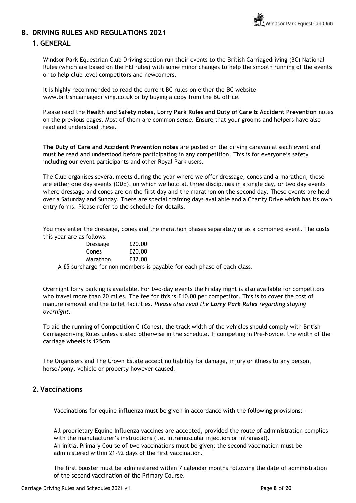## <span id="page-7-1"></span><span id="page-7-0"></span>**8. DRIVING RULES AND REGULATIONS 2021**

## 1.**GENERAL**

Windsor Park Equestrian Club Driving section run their events to the British Carriagedriving (BC) National Rules (which are based on the FEI rules) with some minor changes to help the smooth running of the events or to help club level competitors and newcomers.

It is highly recommended to read the current BC rules on either the BC website www.britishcarriagedriving.co.uk or by buying a copy from the BC office.

Please read the **Health and Safety notes, Lorry Park Rules and Duty of Care & Accident Prevention** notes on the previous pages. Most of them are common sense. Ensure that your grooms and helpers have also read and understood these.

**The Duty of Care and Accident Prevention notes** are posted on the driving caravan at each event and must be read and understood before participating in any competition. This is for everyone's safety including our event participants and other Royal Park users.

The Club organises several meets during the year where we offer dressage, cones and a marathon, these are either one day events (ODE), on which we hold all three disciplines in a single day, or two day events where dressage and cones are on the first day and the marathon on the second day. These events are held over a Saturday and Sunday. There are special training days available and a Charity Drive which has its own entry forms. Please refer to the schedule for details.

You may enter the dressage, cones and the marathon phases separately or as a combined event. The costs this year are as follows:

| <b>Dressage</b> | £20.00 |
|-----------------|--------|
| Cones           | £20.00 |
| Marathon        | £32.00 |
|                 |        |

A £5 surcharge for non members is payable for each phase of each class.

Overnight lorry parking is available. For two-day events the Friday night is also available for competitors who travel more than 20 miles. The fee for this is £10.00 per competitor. This is to cover the cost of manure removal and the toilet facilities. *Please also read the Lorry Park Rules regarding staying overnight.*

To aid the running of Competition C (Cones), the track width of the vehicles should comply with British Carriagedriving Rules unless stated otherwise in the schedule. If competing in Pre-Novice, the width of the carriage wheels is 125cm

The Organisers and The Crown Estate accept no liability for damage, injury or illness to any person, horse/pony, vehicle or property however caused.

## <span id="page-7-2"></span>**2.Vaccinations**

Vaccinations for equine influenza must be given in accordance with the following provisions:-

All proprietary Equine Influenza vaccines are accepted, provided the route of administration complies with the manufacturer's instructions (i.e. intramuscular injection or intranasal). An initial Primary Course of two vaccinations must be given; the second vaccination must be administered within 21-92 days of the first vaccination.

The first booster must be administered within 7 calendar months following the date of administration of the second vaccination of the Primary Course.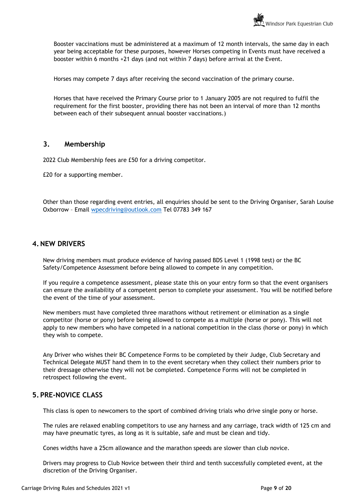Booster vaccinations must be administered at a maximum of 12 month intervals, the same day in each year being acceptable for these purposes, however Horses competing in Events must have received a booster within 6 months +21 days (and not within 7 days) before arrival at the Event.

Horses may compete 7 days after receiving the second vaccination of the primary course.

Horses that have received the Primary Course prior to 1 January 2005 are not required to fulfil the requirement for the first booster, providing there has not been an interval of more than 12 months between each of their subsequent annual booster vaccinations.)

## **3. Membership**

2022 Club Membership fees are £50 for a driving competitor.

£20 for a supporting member.

Other than those regarding event entries, all enquiries should be sent to the Driving Organiser, Sarah Louise Oxborrow – Email [wpecdriving@outlook.com](mailto:wpecdriving@outlook.com) Tel 07783 349 167

## <span id="page-8-0"></span>**4.NEW DRIVERS**

New driving members must produce evidence of having passed BDS Level 1 (1998 test) or the BC Safety/Competence Assessment before being allowed to compete in any competition.

If you require a competence assessment, please state this on your entry form so that the event organisers can ensure the availability of a competent person to complete your assessment. You will be notified before the event of the time of your assessment.

New members must have completed three marathons without retirement or elimination as a single competitor (horse or pony) before being allowed to compete as a multiple (horse or pony). This will not apply to new members who have competed in a national competition in the class (horse or pony) in which they wish to compete.

Any Driver who wishes their BC Competence Forms to be completed by their Judge, Club Secretary and Technical Delegate MUST hand them in to the event secretary when they collect their numbers prior to their dressage otherwise they will not be completed. Competence Forms will not be completed in retrospect following the event.

## <span id="page-8-1"></span>**5.PRE-NOVICE CLASS**

This class is open to newcomers to the sport of combined driving trials who drive single pony or horse.

The rules are relaxed enabling competitors to use any harness and any carriage, track width of 125 cm and may have pneumatic tyres, as long as it is suitable, safe and must be clean and tidy.

Cones widths have a 25cm allowance and the marathon speeds are slower than club novice.

Drivers may progress to Club Novice between their third and tenth successfully completed event, at the discretion of the Driving Organiser.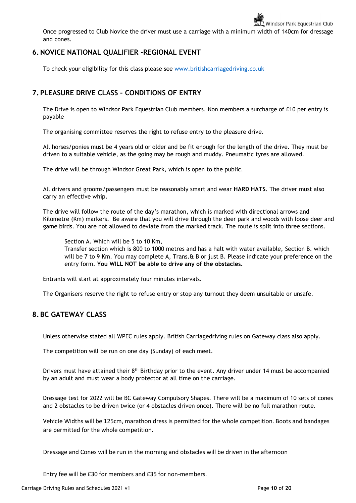Once progressed to Club Novice the driver must use a carriage with a minimum width of 140cm for dressage and cones.

## <span id="page-9-0"></span>**6.NOVICE NATIONAL QUALIFIER -REGIONAL EVENT**

To check your eligibility for this class please see [www.britishcarriagedriving.co.uk](http://www.britishcarriagedriving.co.uk/)

## <span id="page-9-1"></span>**7.PLEASURE DRIVE CLASS – CONDITIONS OF ENTRY**

The Drive is open to Windsor Park Equestrian Club members. Non members a surcharge of £10 per entry is payable

The organising committee reserves the right to refuse entry to the pleasure drive.

All horses/ponies must be 4 years old or older and be fit enough for the length of the drive. They must be driven to a suitable vehicle, as the going may be rough and muddy. Pneumatic tyres are allowed.

The drive will be through Windsor Great Park, which is open to the public.

All drivers and grooms/passengers must be reasonably smart and wear **HARD HATS**. The driver must also carry an effective whip.

The drive will follow the route of the day's marathon, which is marked with directional arrows and Kilometre (Km) markers. Be aware that you will drive through the deer park and woods with loose deer and game birds. You are not allowed to deviate from the marked track. The route is split into three sections.

Section A. Which will be 5 to 10 Km, Transfer section which is 800 to 1000 metres and has a halt with water available, Section B. which will be 7 to 9 Km. You may complete A, Trans. & B or just B. Please indicate your preference on the entry form. **You WILL NOT be able to drive any of the obstacles.**

Entrants will start at approximately four minutes intervals.

The Organisers reserve the right to refuse entry or stop any turnout they deem unsuitable or unsafe.

## <span id="page-9-2"></span>**8.BC GATEWAY CLASS**

Unless otherwise stated all WPEC rules apply. British Carriagedriving rules on Gateway class also apply.

The competition will be run on one day (Sunday) of each meet.

Drivers must have attained their 8<sup>th</sup> Birthday prior to the event. Any driver under 14 must be accompanied by an adult and must wear a body protector at all time on the carriage.

Dressage test for 2022 will be BC Gateway Compulsory Shapes. There will be a maximum of 10 sets of cones and 2 obstacles to be driven twice (or 4 obstacles driven once). There will be no full marathon route.

Vehicle Widths will be 125cm, marathon dress is permitted for the whole competition. Boots and bandages are permitted for the whole competition.

Dressage and Cones will be run in the morning and obstacles will be driven in the afternoon

Entry fee will be £30 for members and £35 for non-members.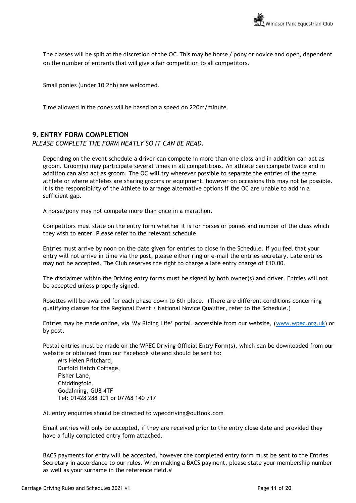The classes will be split at the discretion of the OC. This may be horse / pony or novice and open, dependent on the number of entrants that will give a fair competition to all competitors.

Small ponies (under 10.2hh) are welcomed.

Time allowed in the cones will be based on a speed on 220m/minute.

## <span id="page-10-0"></span>**9. ENTRY FORM COMPLETION**

PLEASE COMPLETE THE FORM NEATLY SO IT CAN BE READ.

Depending on the event schedule a driver can compete in more than one class and in addition can act as groom. Groom(s) may participate several times in all competitions. An athlete can compete twice and in addition can also act as groom. The OC will try wherever possible to separate the entries of the same athlete or where athletes are sharing grooms or equipment, however on occasions this may not be possible. It is the responsibility of the Athlete to arrange alternative options if the OC are unable to add in a sufficient gap.

A horse/pony may not compete more than once in a marathon.

Competitors must state on the entry form whether it is for horses or ponies and number of the class which they wish to enter. Please refer to the relevant schedule.

Entries must arrive by noon on the date given for entries to close in the Schedule. If you feel that your entry will not arrive in time via the post, please either ring or e-mail the entries secretary. Late entries may not be accepted. The Club reserves the right to charge a late entry charge of £10.00.

The disclaimer within the Driving entry forms must be signed by both owner(s) and driver. Entries will not be accepted unless properly signed.

Rosettes will be awarded for each phase down to 6th place. (There are different conditions concerning qualifying classes for the Regional Event / National Novice Qualifier, refer to the Schedule.)

Entries may be made online, via 'My Riding Life' portal, accessible from our website, ([www.wpec.org.uk\)](http://www.wpec.org.uk/) or by post.

Postal entries must be made on the WPEC Driving Official Entry Form(s), which can be downloaded from our website or obtained from our Facebook site and should be sent to:

Mrs Helen Pritchard, Durfold Hatch Cottage, Fisher Lane, Chiddingfold, Godalming, GU8 4TF Tel: 01428 288 301 or 07768 140 717

All entry enquiries should be directed to wpecdriving@outlook.com

Email entries will only be accepted, if they are received prior to the entry close date and provided they have a fully completed entry form attached.

BACS payments for entry will be accepted, however the completed entry form must be sent to the Entries Secretary in accordance to our rules. When making a BACS payment, please state your membership number as well as your surname in the reference field.#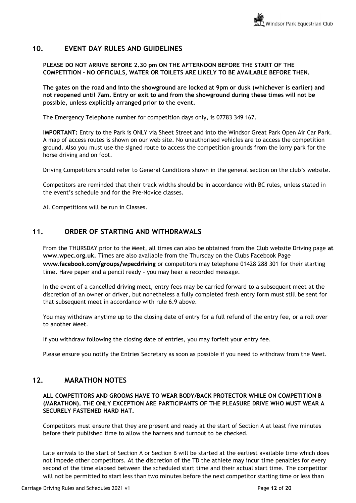## <span id="page-11-0"></span>**10. EVENT DAY RULES AND GUIDELINES**

**PLEASE DO NOT ARRIVE BEFORE 2.30 pm ON THE AFTERNOON BEFORE THE START OF THE COMPETITION – NO OFFICIALS, WATER OR TOILETS ARE LIKELY TO BE AVAILABLE BEFORE THEN.**

**The gates on the road and into the showground are locked at 9pm or dusk (whichever is earlier) and not reopened until 7am. Entry or exit to and from the showground during these times will not be possible, unless explicitly arranged prior to the event.**

The Emergency Telephone number for competition days only, is 07783 349 167.

**IMPORTANT:** Entry to the Park is ONLY via Sheet Street and into the Windsor Great Park Open Air Car Park. A map of access routes is shown on our web site. No unauthorised vehicles are to access the competition ground. Also you must use the signed route to access the competition grounds from the lorry park for the horse driving and on foot.

Driving Competitors should refer to General Conditions shown in the general section on the club's website.

Competitors are reminded that their track widths should be in accordance with BC rules, unless stated in the event's schedule and for the Pre-Novice classes.

All Competitions will be run in Classes.

## <span id="page-11-1"></span>**11. ORDER OF STARTING AND WITHDRAWALS**

From the THURSDAY prior to the Meet, all times can also be obtained from the Club website Driving page **at www.wpec.org.uk.** Times are also available from the Thursday on the Clubs Facebook Page **www.facebook.com/groups/wpecdriving** or competitors may telephone 01428 288 301 for their starting time. Have paper and a pencil ready - you may hear a recorded message.

In the event of a cancelled driving meet, entry fees may be carried forward to a subsequent meet at the discretion of an owner or driver, but nonetheless a fully completed fresh entry form must still be sent for that subsequent meet in accordance with rule 6.9 above.

You may withdraw anytime up to the closing date of entry for a full refund of the entry fee, or a roll over to another Meet.

If you withdraw following the closing date of entries, you may forfeit your entry fee.

Please ensure you notify the Entries Secretary as soon as possible if you need to withdraw from the Meet.

## <span id="page-11-2"></span>**12. MARATHON NOTES**

### **ALL COMPETITORS AND GROOMS HAVE TO WEAR BODY/BACK PROTECTOR WHILE ON COMPETITION B (MARATHON). THE ONLY EXCEPTION ARE PARTICIPANTS OF THE PLEASURE DRIVE WHO MUST WEAR A SECURELY FASTENED HARD HAT.**

Competitors must ensure that they are present and ready at the start of Section A at least five minutes before their published time to allow the harness and turnout to be checked.

Late arrivals to the start of Section A or Section B will be started at the earliest available time which does not impede other competitors. At the discretion of the TD the athlete may incur time penalties for every second of the time elapsed between the scheduled start time and their actual start time. The competitor will not be permitted to start less than two minutes before the next competitor starting time or less than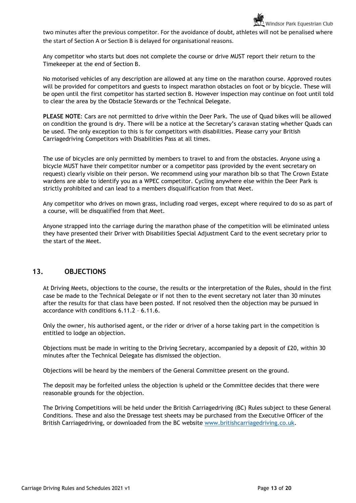two minutes after the previous competitor. For the avoidance of doubt, athletes will not be penalised where the start of Section A or Section B is delayed for organisational reasons.

Any competitor who starts but does not complete the course or drive MUST report their return to the Timekeeper at the end of Section B.

No motorised vehicles of any description are allowed at any time on the marathon course. Approved routes will be provided for competitors and guests to inspect marathon obstacles on foot or by bicycle. These will be open until the first competitor has started section B. However inspection may continue on foot until told to clear the area by the Obstacle Stewards or the Technical Delegate.

**PLEASE NOTE**: Cars are not permitted to drive within the Deer Park. The use of Quad bikes will be allowed on condition the ground is dry. There will be a notice at the Secretary's caravan stating whether Quads can be used. The only exception to this is for competitors with disabilities. Please carry your British Carriagedriving Competitors with Disabilities Pass at all times.

The use of bicycles are only permitted by members to travel to and from the obstacles. Anyone using a bicycle MUST have their competitor number or a competitor pass (provided by the event secretary on request) clearly visible on their person. We recommend using your marathon bib so that The Crown Estate wardens are able to identify you as a WPEC competitor. Cycling anywhere else within the Deer Park is strictly prohibited and can lead to a members disqualification from that Meet.

Any competitor who drives on mown grass, including road verges, except where required to do so as part of a course, will be disqualified from that Meet.

Anyone strapped into the carriage during the marathon phase of the competition will be eliminated unless they have presented their Driver with Disabilities Special Adjustment Card to the event secretary prior to the start of the Meet.

## <span id="page-12-0"></span>**13. OBJECTIONS**

At Driving Meets, objections to the course, the results or the interpretation of the Rules, should in the first case be made to the Technical Delegate or if not then to the event secretary not later than 30 minutes after the results for that class have been posted. If not resolved then the objection may be pursued in accordance with conditions 6.11.2 – 6.11.6.

Only the owner, his authorised agent, or the rider or driver of a horse taking part in the competition is entitled to lodge an objection.

Objections must be made in writing to the Driving Secretary, accompanied by a deposit of £20, within 30 minutes after the Technical Delegate has dismissed the objection.

Objections will be heard by the members of the General Committee present on the ground.

The deposit may be forfeited unless the objection is upheld or the Committee decides that there were reasonable grounds for the objection.

The Driving Competitions will be held under the British Carriagedriving (BC) Rules subject to these General Conditions. These and also the Dressage test sheets may be purchased from the Executive Officer of the British Carriagedriving, or downloaded from the BC website [www.britishcarriagedriving.co.uk.](http://www.britishcarriagedriving.co.uk/)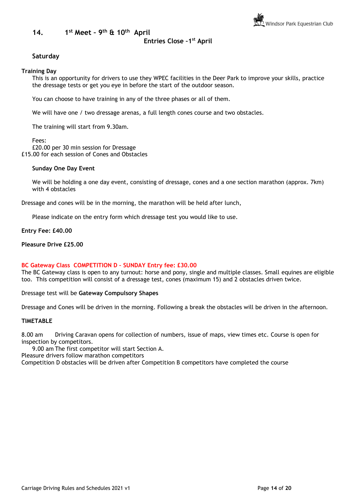<span id="page-13-0"></span>**14. 1 st Meet – 9 th & 10th April**

## **Entries Close –1 st April**

## **Saturday**

#### **Training Day**

This is an opportunity for drivers to use they WPEC facilities in the Deer Park to improve your skills, practice the dressage tests or get you eye in before the start of the outdoor season.

You can choose to have training in any of the three phases or all of them.

We will have one / two dressage arenas, a full length cones course and two obstacles.

The training will start from 9.30am.

Fees:

£20.00 per 30 min session for Dressage £15.00 for each session of Cones and Obstacles

#### **Sunday One Day Event**

We will be holding a one day event, consisting of dressage, cones and a one section marathon (approx. 7km) with 4 obstacles

Dressage and cones will be in the morning, the marathon will be held after lunch,

Please indicate on the entry form which dressage test you would like to use.

**Entry Fee: £40.00**

**Pleasure Drive £25.00**

#### **BC Gateway Class COMPETITION D – SUNDAY Entry fee: £30.00**

The BC Gateway class is open to any turnout: horse and pony, single and multiple classes. Small equines are eligible too. This competition will consist of a dressage test, cones (maximum 15) and 2 obstacles driven twice.

Dressage test will be **Gateway Compulsory Shapes** 

Dressage and Cones will be driven in the morning. Following a break the obstacles will be driven in the afternoon.

#### **TIMETABLE**

8.00 am Driving Caravan opens for collection of numbers, issue of maps, view times etc. Course is open for inspection by competitors.

9.00 am The first competitor will start Section A.

Pleasure drivers follow marathon competitors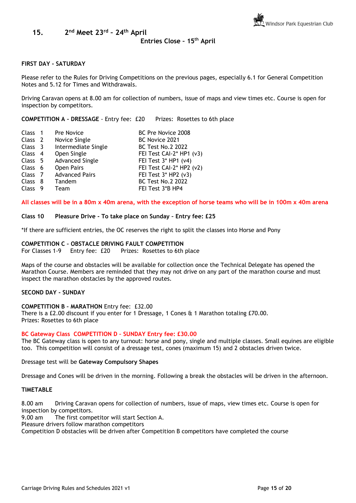<span id="page-14-0"></span>**15. 2 nd Meet 23rd – 24th April** 

## **Entries Close – 15th April**

#### **FIRST DAY - SATURDAY**

Please refer to the Rules for Driving Competitions on the previous pages, especially 6.1 for General Competition Notes and 5.12 for Times and Withdrawals.

Driving Caravan opens at 8.00 am for collection of numbers, issue of maps and view times etc. Course is open for inspection by competitors.

**COMPETITION A – DRESSAGE** - Entry fee: £20 Prizes: Rosettes to 6th place

| Class <sub>1</sub> | Pre Novice             | BC Pre Novice 2008         |
|--------------------|------------------------|----------------------------|
| Class <sub>2</sub> | Novice Single          | BC Novice 2021             |
| Class 3            | Intermediate Single    | <b>BC Test No.2 2022</b>   |
| Class <sub>4</sub> | Open Single            | FEI Test CAI-2* HP1 (v3)   |
| Class 5            | <b>Advanced Single</b> | FEI Test 3* HP1 (v4)       |
| Class 6            | Open Pairs             | FEI Test CAI-2* HP2 (v2)   |
| Class 7            | <b>Advanced Pairs</b>  | FEI Test $3*$ HP2 ( $v3$ ) |
| Class 8            | Tandem                 | <b>BC Test No.2 2022</b>   |
| Class <sub>9</sub> | Team                   | FEI Test 3*B HP4           |
|                    |                        |                            |

**All classes will be in a 80m x 40m arena, with the exception of horse teams who will be in 100m x 40m arena**

#### **Class 10 Pleasure Drive - To take place on Sunday – Entry fee: £25**

\*If there are sufficient entries, the OC reserves the right to split the classes into Horse and Pony

## **COMPETITION C – OBSTACLE DRIVING FAULT COMPETITION**

For Classes 1-9 Entry fee: £20 Prizes: Rosettes to 6th place

Maps of the course and obstacles will be available for collection once the Technical Delegate has opened the Marathon Course. Members are reminded that they may not drive on any part of the marathon course and must inspect the marathon obstacles by the approved routes.

#### **SECOND DAY - SUNDAY**

**COMPETITION B – MARATHON** Entry fee: £32.00

There is a £2.00 discount if you enter for 1 Dressage, 1 Cones & 1 Marathon totaling £70.00. Prizes: Rosettes to 6th place

#### **BC Gateway Class COMPETITION D – SUNDAY Entry fee: £30.00**

The BC Gateway class is open to any turnout: horse and pony, single and multiple classes. Small equines are eligible too. This competition will consist of a dressage test, cones (maximum 15) and 2 obstacles driven twice.

#### Dressage test will be **Gateway Compulsory Shapes**

Dressage and Cones will be driven in the morning. Following a break the obstacles will be driven in the afternoon.

#### **TIMETABLE**

8.00 am Driving Caravan opens for collection of numbers, issue of maps, view times etc. Course is open for inspection by competitors.

9.00 am The first competitor will start Section A.

Pleasure drivers follow marathon competitors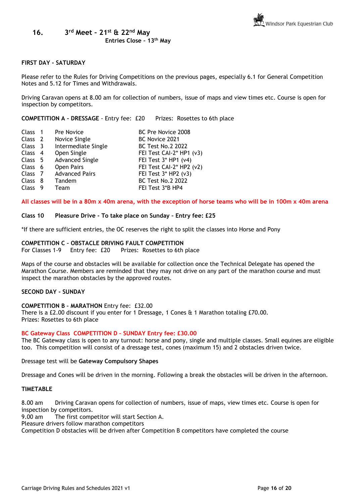<span id="page-15-0"></span>**16. 3 rd Meet – 21st & 22nd May**

### **FIRST DAY - SATURDAY**

Please refer to the Rules for Driving Competitions on the previous pages, especially 6.1 for General Competition Notes and 5.12 for Times and Withdrawals.

Driving Caravan opens at 8.00 am for collection of numbers, issue of maps and view times etc. Course is open for inspection by competitors.

**COMPETITION A – DRESSAGE** - Entry fee: £20 Prizes: Rosettes to 6th place

| Class 1            | Pre Novice             | BC Pre Novice 2008         |
|--------------------|------------------------|----------------------------|
| Class <sub>2</sub> | Novice Single          | BC Novice 2021             |
| Class 3            | Intermediate Single    | <b>BC Test No.2 2022</b>   |
| Class 4            | Open Single            | FEI Test CAI-2* HP1 (v3)   |
| Class 5            | <b>Advanced Single</b> | FEI Test $3*$ HP1 ( $v4$ ) |
| Class 6            | Open Pairs             | FEI Test CAI-2* HP2 (v2)   |
| Class 7            | <b>Advanced Pairs</b>  | FEI Test 3* HP2 (v3)       |
| Class 8            | Tandem                 | <b>BC Test No.2 2022</b>   |
| Class <sub>9</sub> | Team                   | FEI Test 3*B HP4           |

**All classes will be in a 80m x 40m arena, with the exception of horse teams who will be in 100m x 40m arena**

#### **Class 10 Pleasure Drive - To take place on Sunday – Entry fee: £25**

\*If there are sufficient entries, the OC reserves the right to split the classes into Horse and Pony

### **COMPETITION C – OBSTACLE DRIVING FAULT COMPETITION**

For Classes 1-9 Entry fee: £20 Prizes: Rosettes to 6th place

Maps of the course and obstacles will be available for collection once the Technical Delegate has opened the Marathon Course. Members are reminded that they may not drive on any part of the marathon course and must inspect the marathon obstacles by the approved routes.

#### **SECOND DAY - SUNDAY**

**COMPETITION B – MARATHON** Entry fee: £32.00

There is a £2.00 discount if you enter for 1 Dressage, 1 Cones & 1 Marathon totaling £70.00. Prizes: Rosettes to 6th place

#### **BC Gateway Class COMPETITION D – SUNDAY Entry fee: £30.00**

The BC Gateway class is open to any turnout: horse and pony, single and multiple classes. Small equines are eligible too. This competition will consist of a dressage test, cones (maximum 15) and 2 obstacles driven twice.

Dressage test will be **Gateway Compulsory Shapes** 

Dressage and Cones will be driven in the morning. Following a break the obstacles will be driven in the afternoon.

#### **TIMETABLE**

8.00 am Driving Caravan opens for collection of numbers, issue of maps, view times etc. Course is open for inspection by competitors.

9.00 am The first competitor will start Section A.

Pleasure drivers follow marathon competitors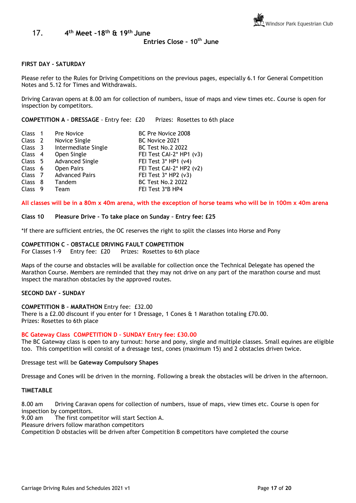#### <span id="page-16-0"></span>17. **4 th Meet –18 th & 19 th June**

#### **Entries Close – 10th June**

#### **FIRST DAY - SATURDAY**

Please refer to the Rules for Driving Competitions on the previous pages, especially 6.1 for General Competition Notes and 5.12 for Times and Withdrawals.

Driving Caravan opens at 8.00 am for collection of numbers, issue of maps and view times etc. Course is open for inspection by competitors.

**COMPETITION A – DRESSAGE** - Entry fee: £20 Prizes: Rosettes to 6th place

| Class <sub>1</sub> | Pre Novice             | BC Pre Novice 2008         |
|--------------------|------------------------|----------------------------|
| Class <sub>2</sub> | Novice Single          | BC Novice 2021             |
| Class 3            | Intermediate Single    | <b>BC Test No.2 2022</b>   |
| Class <sub>4</sub> | Open Single            | FEI Test CAI-2* HP1 (v3)   |
| Class 5            | <b>Advanced Single</b> | FEI Test $3*$ HP1 ( $v4$ ) |
| Class 6            | Open Pairs             | FEI Test CAI-2* HP2 (v2)   |
| Class 7            | <b>Advanced Pairs</b>  | FEI Test $3*$ HP2 ( $v3$ ) |
| Class 8            | Tandem                 | <b>BC Test No.2 2022</b>   |
| Class <sub>9</sub> | Team                   | FEI Test 3*B HP4           |
|                    |                        |                            |

**All classes will be in a 80m x 40m arena, with the exception of horse teams who will be in 100m x 40m arena**

#### **Class 10 Pleasure Drive - To take place on Sunday – Entry fee: £25**

\*If there are sufficient entries, the OC reserves the right to split the classes into Horse and Pony

## **COMPETITION C – OBSTACLE DRIVING FAULT COMPETITION**

For Classes 1-9 Entry fee: £20 Prizes: Rosettes to 6th place

Maps of the course and obstacles will be available for collection once the Technical Delegate has opened the Marathon Course. Members are reminded that they may not drive on any part of the marathon course and must inspect the marathon obstacles by the approved routes.

#### **SECOND DAY - SUNDAY**

#### **COMPETITION B – MARATHON** Entry fee: £32.00

There is a £2.00 discount if you enter for 1 Dressage, 1 Cones & 1 Marathon totaling £70.00. Prizes: Rosettes to 6th place

#### **BC Gateway Class COMPETITION D – SUNDAY Entry fee: £30.00**

The BC Gateway class is open to any turnout: horse and pony, single and multiple classes. Small equines are eligible too. This competition will consist of a dressage test, cones (maximum 15) and 2 obstacles driven twice.

#### Dressage test will be **Gateway Compulsory Shapes**

Dressage and Cones will be driven in the morning. Following a break the obstacles will be driven in the afternoon.

#### **TIMETABLE**

8.00 am Driving Caravan opens for collection of numbers, issue of maps, view times etc. Course is open for inspection by competitors.

9.00 am The first competitor will start Section A.

Pleasure drivers follow marathon competitors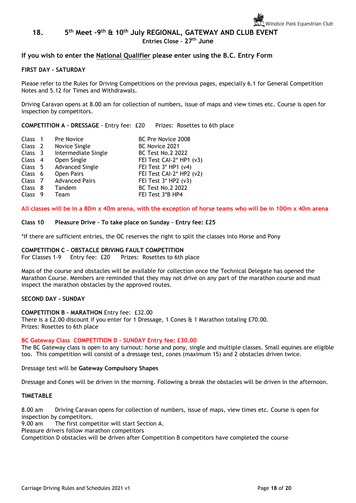#### <span id="page-17-0"></span>**18. 5 th Meet –9 th & 10th July REGIONAL, GATEWAY AND CLUB EVENT**

**Entries Close – 27th June**

### **If you wish to enter the National Qualifier please enter using the B.C. Entry Form**

#### **FIRST DAY - SATURDAY**

Please refer to the Rules for Driving Competitions on the previous pages, especially 6.1 for General Competition Notes and 5.12 for Times and Withdrawals.

Driving Caravan opens at 8.00 am for collection of numbers, issue of maps and view times etc. Course is open for inspection by competitors.

#### **COMPETITION A – DRESSAGE** - Entry fee: £20 Prizes: Rosettes to 6th place

| Class 1            |     | Pre Novice             | BC Pre Novice 2008         |
|--------------------|-----|------------------------|----------------------------|
| Class <sub>2</sub> |     | Novice Single          | BC Novice 2021             |
| Class 3            |     | Intermediate Single    | <b>BC Test No.2 2022</b>   |
| Class 4            |     | Open Single            | FEI Test CAI-2* HP1 (v3)   |
| Class 5            |     | <b>Advanced Single</b> | FEI Test $3*$ HP1 ( $v4$ ) |
| Class <sub>6</sub> |     | Open Pairs             | FEI Test CAI-2* HP2 (v2)   |
| Class 7            |     | <b>Advanced Pairs</b>  | FEI Test $3*$ HP2 ( $v3$ ) |
| Class 8            |     | Tandem                 | <b>BC Test No.2 2022</b>   |
| <b>Class</b>       | - 9 | Team                   | FEI Test 3*B HP4           |

**All classes will be in a 80m x 40m arena, with the exception of horse teams who will be in 100m x 40m arena**

#### **Class 10 Pleasure Drive - To take place on Sunday – Entry fee: £25**

\*If there are sufficient entries, the OC reserves the right to split the classes into Horse and Pony

## **COMPETITION C – OBSTACLE DRIVING FAULT COMPETITION**

For Classes 1-9 Entry fee: £20 Prizes: Rosettes to 6th place

Maps of the course and obstacles will be available for collection once the Technical Delegate has opened the Marathon Course. Members are reminded that they may not drive on any part of the marathon course and must inspect the marathon obstacles by the approved routes.

#### **SECOND DAY - SUNDAY**

#### **COMPETITION B – MARATHON** Entry fee: £32.00

There is a £2.00 discount if you enter for 1 Dressage, 1 Cones & 1 Marathon totaling £70.00. Prizes: Rosettes to 6th place

#### **BC Gateway Class COMPETITION D – SUNDAY Entry fee: £30.00**

The BC Gateway class is open to any turnout: horse and pony, single and multiple classes. Small equines are eligible too. This competition will consist of a dressage test, cones (maximum 15) and 2 obstacles driven twice.

Dressage test will be **Gateway Compulsory Shapes** 

Dressage and Cones will be driven in the morning. Following a break the obstacles will be driven in the afternoon.

#### **TIMETABLE**

8.00 am Driving Caravan opens for collection of numbers, issue of maps, view times etc. Course is open for inspection by competitors.

9.00 am The first competitor will start Section A.

Pleasure drivers follow marathon competitors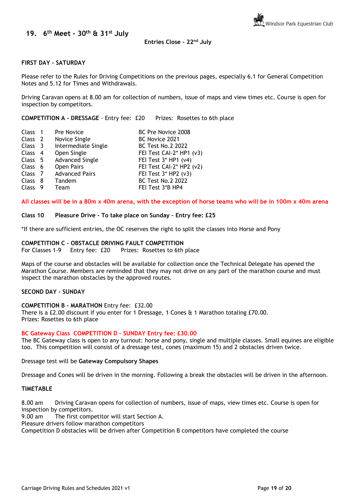<span id="page-18-0"></span>**19. 6 th Meet – 30th & 31st July**

#### **Entries Close – 22nd July**

#### **FIRST DAY - SATURDAY**

Please refer to the Rules for Driving Competitions on the previous pages, especially 6.1 for General Competition Notes and 5.12 for Times and Withdrawals.

Driving Caravan opens at 8.00 am for collection of numbers, issue of maps and view times etc. Course is open for inspection by competitors.

**COMPETITION A – DRESSAGE** - Entry fee: £20 Prizes: Rosettes to 6th place

| Class 1            |     | Pre Novice             | BC Pre Novice 2008         |
|--------------------|-----|------------------------|----------------------------|
| Class <sub>2</sub> |     | Novice Single          | BC Novice 2021             |
| Class 3            |     | Intermediate Single    | <b>BC Test No.2 2022</b>   |
| Class 4            |     | Open Single            | FEI Test CAI-2* HP1 (v3)   |
| Class 5            |     | <b>Advanced Single</b> | FEI Test $3*$ HP1 ( $v4$ ) |
| Class 6            |     | Open Pairs             | FEI Test CAI-2* HP2 (v2)   |
| Class 7            |     | <b>Advanced Pairs</b>  | FEI Test $3*$ HP2 ( $v3$ ) |
| Class 8            |     | Tandem                 | <b>BC Test No.2 2022</b>   |
| <b>Class</b>       | - 9 | Team                   | FEI Test 3*B HP4           |

**All classes will be in a 80m x 40m arena, with the exception of horse teams who will be in 100m x 40m arena**

#### **Class 10 Pleasure Drive - To take place on Sunday – Entry fee: £25**

\*If there are sufficient entries, the OC reserves the right to split the classes into Horse and Pony

## **COMPETITION C – OBSTACLE DRIVING FAULT COMPETITION**

For Classes 1-9 Entry fee: £20 Prizes: Rosettes to 6th place

Maps of the course and obstacles will be available for collection once the Technical Delegate has opened the Marathon Course. Members are reminded that they may not drive on any part of the marathon course and must inspect the marathon obstacles by the approved routes.

#### **SECOND DAY - SUNDAY**

**COMPETITION B – MARATHON** Entry fee: £32.00

There is a £2.00 discount if you enter for 1 Dressage, 1 Cones & 1 Marathon totaling £70.00. Prizes: Rosettes to 6th place

#### **BC Gateway Class COMPETITION D – SUNDAY Entry fee: £30.00**

The BC Gateway class is open to any turnout: horse and pony, single and multiple classes. Small equines are eligible too. This competition will consist of a dressage test, cones (maximum 15) and 2 obstacles driven twice.

Dressage test will be **Gateway Compulsory Shapes** 

Dressage and Cones will be driven in the morning. Following a break the obstacles will be driven in the afternoon.

#### **TIMETABLE**

8.00 am Driving Caravan opens for collection of numbers, issue of maps, view times etc. Course is open for inspection by competitors.

9.00 am The first competitor will start Section A.

Pleasure drivers follow marathon competitors